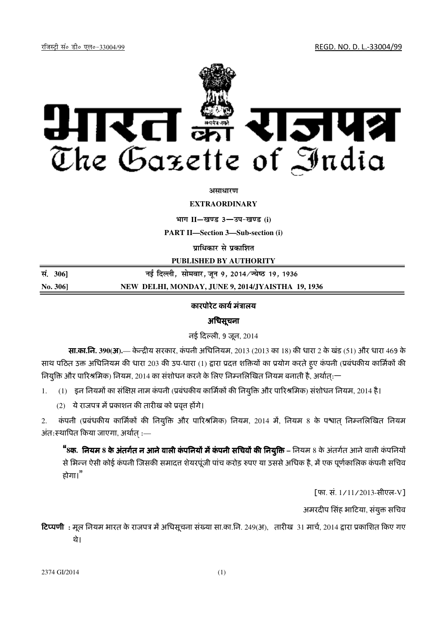रजिस्ट्री सं० डी० एल०-33004/99 रजिल्ह्या अस्ति । अर्थातिक प्राप्त स्थानिक प्राप्त सम्मि । अर्थातिक प्राप्त सम्



#### असाधार**ण**

### **EXTRAORDINARY**

 $4$ **HI<sup>T</sup> II**—*B***US** 3—34-*B*US (i)

**PART II—Section 3—Sub-section (i)**

**प्राधिकार से प्रकाशित** 

**PUBLISHED BY AUTHORITY**

| सं. 306]       | नई दिल्ली, सोमवार, जून 9, 2014 ∕ज्येष्ठ 19, 1936  |
|----------------|---------------------------------------------------|
| <b>No. 306</b> | NEW DELHI, MONDAY, JUNE 9, 2014/JYAISTHA 19, 1936 |

# कारपोरेट कार्य मंत्रालय

## अधिसूचना

नई दली, 9 जून, 2014

सा**.**का**.**िन**. 390(**अ**).**— के िय सरकार, कं पनी अिधिनयम, 2013 (2013 का 18) क धारा 2 के खंड (51) और धारा 469 के साथ पठित उक्त अधिनियम की धारा 203 की उप-धारा (1) द्वारा प्रदत्त शक्तियों का प्रयोग करते हुए कंपनी (प्रबंधकीय कार्मिकों की नियुक्ति और पारिश्रमिक) नियम, 2014 का संशोधन करने के लिए निम्नलिखित नियम बनाती है, अर्थात्:—

 $1.$   $(1)$  इन नियमों का संक्षिप्त नाम कंपनी (प्रबंधकीय कार्मिकों की नियुक्ति और पारिश्रमिक) संशोधन नियम, 2014 है।

(2) ये राजपत्र में प्रकाशन की तारीख को प्रवृत्त होंगे।

2. कंपनी (प्रबंधकीय कार्मिकों की नियुक्ति और पारिश्रमिक) नियम, 2014 में, नियम 8 के पश्वात् निम्नलिखित नियम अंत:स्थापित किया जाएगा, अर्थात :—

**"8क. नियम 8 के अंतर्गत न आने वाली कंपनियों में कंपनी सचिवों की नियुक्ति – नियम 8 के अंतर्गत आने वाली कंपनियों** से भिन्न ऐसी कोई कंपनी जिसकी समादत्त शेयरपूंजी पांच करोड़ रुपए या उससे अधिक है, में एक पूर्णकालिक कंपनी सचिव होगा।"

[फा. सं. 1/11/2013-सीएल-V]

अमरदीप सिंह भाटिया, संयुक्त सचिव

**टिप्पणी:** मूल नियम भारत के राजपत्र में अधिसूचना संख्या सा.का.नि. 249(अ), तारीख 31 मार्च, 2014 द्वारा प्रकाशित किए गए थे।

2374 GI/2014 (1)